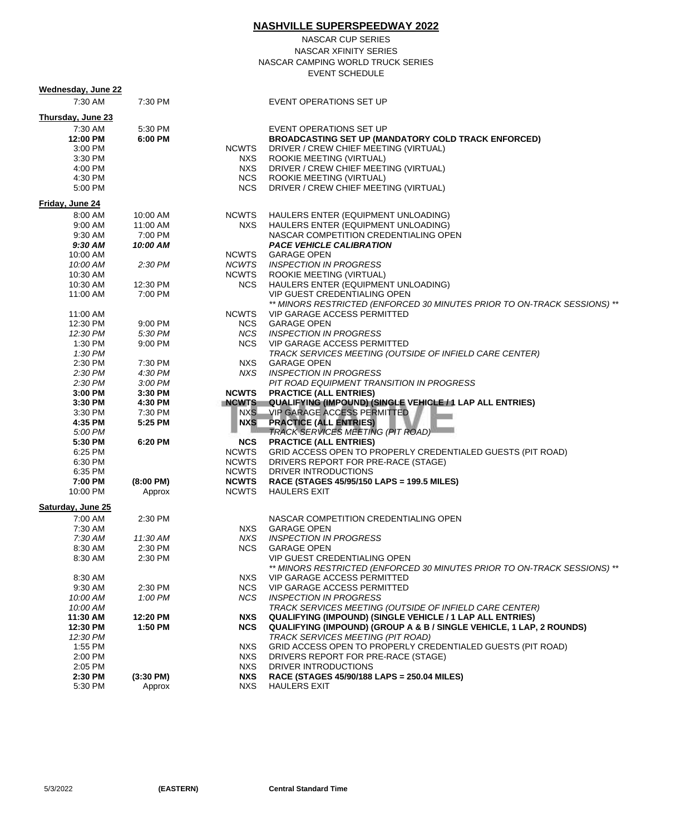|                     |                      |                              | <b>NASHVILLE SUPERSPEEDWAY 2022</b>                                                                     |
|---------------------|----------------------|------------------------------|---------------------------------------------------------------------------------------------------------|
|                     |                      |                              | NASCAR CUP SERIES                                                                                       |
|                     |                      |                              | NASCAR XFINITY SERIES                                                                                   |
|                     |                      |                              |                                                                                                         |
|                     |                      |                              | NASCAR CAMPING WORLD TRUCK SERIES                                                                       |
|                     |                      |                              | <b>EVENT SCHEDULE</b>                                                                                   |
| Wednesday, June 22  |                      |                              |                                                                                                         |
| 7:30 AM             | 7:30 PM              |                              | EVENT OPERATIONS SET UP                                                                                 |
| Thursday, June 23   |                      |                              |                                                                                                         |
| 7:30 AM             | 5:30 PM              |                              | EVENT OPERATIONS SET UP                                                                                 |
| 12:00 PM            | 6:00 PM              |                              | <b>BROADCASTING SET UP (MANDATORY COLD TRACK ENFORCED)</b>                                              |
| 3:00 PM             |                      | NCWTS                        | DRIVER / CREW CHIEF MEETING (VIRTUAL)                                                                   |
| 3:30 PM             |                      | NXS                          | ROOKIE MEETING (VIRTUAL)                                                                                |
| 4:00 PM             |                      | NXS                          | DRIVER / CREW CHIEF MEETING (VIRTUAL)                                                                   |
| 4:30 PM             |                      |                              | NCS ROOKIE MEETING (VIRTUAL)                                                                            |
| 5:00 PM             |                      | <b>NCS</b>                   | DRIVER / CREW CHIEF MEETING (VIRTUAL)                                                                   |
| Friday, June 24     |                      |                              |                                                                                                         |
|                     |                      |                              |                                                                                                         |
| 8:00 AM<br>9:00 AM  | 10:00 AM<br>11:00 AM | <b>NCWTS</b><br>NXS.         | HAULERS ENTER (EQUIPMENT UNLOADING)<br>HAULERS ENTER (EQUIPMENT UNLOADING)                              |
| 9:30 AM             | 7:00 PM              |                              | NASCAR COMPETITION CREDENTIALING OPEN                                                                   |
| 9:30 AM             | 10:00 AM             |                              | <b>PACE VEHICLE CALIBRATION</b>                                                                         |
| 10:00 AM            |                      | NCWTS                        | <b>GARAGE OPEN</b>                                                                                      |
| 10:00 AM            | 2:30 PM              | <b>NCWTS</b>                 | INSPECTION IN PROGRESS                                                                                  |
| 10:30 AM            |                      | NCWTS                        | ROOKIE MEETING (VIRTUAL)                                                                                |
| 10:30 AM            | 12:30 PM             | NCS.                         | HAULERS ENTER (EQUIPMENT UNLOADING)                                                                     |
| 11:00 AM            | 7:00 PM              |                              | VIP GUEST CREDENTIALING OPEN                                                                            |
|                     |                      |                              | ** MINORS RESTRICTED (ENFORCED 30 MINUTES PRIOR TO ON-TRACK SESSIONS) **                                |
| 11:00 AM            |                      | <b>NCWTS</b>                 | VIP GARAGE ACCESS PERMITTED                                                                             |
| 12:30 PM            | 9:00 PM              | <b>NCS</b>                   | <b>GARAGE OPEN</b>                                                                                      |
| 12:30 PM            | 5:30 PM              | NCS                          | INSPECTION IN PROGRESS                                                                                  |
| 1:30 PM             | 9:00 PM              | NCS                          | VIP GARAGE ACCESS PERMITTED                                                                             |
| 1:30 PM<br>2:30 PM  | 7:30 PM              | NXS                          | TRACK SERVICES MEETING (OUTSIDE OF INFIELD CARE CENTER)<br><b>GARAGE OPEN</b>                           |
| 2:30 PM             | 4:30 PM              | NXS.                         | <b>INSPECTION IN PROGRESS</b>                                                                           |
| 2:30 PM             | 3:00 PM              |                              | PIT ROAD EQUIPMENT TRANSITION IN PROGRESS                                                               |
| 3:00 PM             | 3:30 PM              | <b>NCWTS</b>                 | <b>PRACTICE (ALL ENTRIES)</b>                                                                           |
| 3:30 PM             | 4:30 PM              | <b>NCWTS</b>                 | QUALIFYING (IMPOUND) (SINGLE VEHICLE / 1 LAP ALL ENTRIES)                                               |
| 3:30 PM             | 7:30 PM              | NXS <sub>D</sub>             | VIP GARAGE ACCESS PERMITTED                                                                             |
| 4:35 PM             | 5:25 PM              |                              | NXS PRACTICE (ALL ENTRIES)                                                                              |
| 5:00 PM             |                      |                              | <b>TRACK SERVICES MEETING (PIT ROAD)</b>                                                                |
| 5:30 PM             | 6:20 PM              | <b>NCS</b>                   | <b>PRACTICE (ALL ENTRIES)</b>                                                                           |
| 6:25 PM             |                      | NCWTS                        | GRID ACCESS OPEN TO PROPERLY CREDENTIALED GUESTS (PIT ROAD)                                             |
| 6:30 PM             |                      | <b>NCWTS</b>                 | DRIVERS REPORT FOR PRE-RACE (STAGE)                                                                     |
| 6:35 PM             |                      | NCWTS                        | DRIVER INTRODUCTIONS                                                                                    |
| 7:00 PM<br>10:00 PM | $(8:00 \text{ PM})$  | <b>NCWTS</b><br><b>NCWTS</b> | RACE (STAGES 45/95/150 LAPS = 199.5 MILES)<br>HAULERS EXIT                                              |
|                     | Approx               |                              |                                                                                                         |
| Saturday, June 25   |                      |                              |                                                                                                         |
| 7:00 AM             | 2:30 PM              |                              | NASCAR COMPETITION CREDENTIALING OPEN                                                                   |
| 7:30 AM             |                      | NXS                          | <b>GARAGE OPEN</b>                                                                                      |
| 7:30 AM             | 11:30 AM             | NXS.                         | <b>INSPECTION IN PROGRESS</b>                                                                           |
| 8:30 AM             | 2:30 PM              | NCS.                         | <b>GARAGE OPEN</b>                                                                                      |
| 8:30 AM             | 2:30 PM              |                              | <b>VIP GUEST CREDENTIALING OPEN</b>                                                                     |
| 8:30 AM             |                      | <b>NXS</b>                   | ** MINORS RESTRICTED (ENFORCED 30 MINUTES PRIOR TO ON-TRACK SESSIONS) **<br>VIP GARAGE ACCESS PERMITTED |
| 9:30 AM             | 2:30 PM              | NCS.                         | <b>VIP GARAGE ACCESS PERMITTED</b>                                                                      |
| 10:00 AM            | 1:00 PM              | NCS.                         | <b>INSPECTION IN PROGRESS</b>                                                                           |
| 10:00 AM            |                      |                              | TRACK SERVICES MEETING (OUTSIDE OF INFIELD CARE CENTER)                                                 |
| 11:30 AM            | 12:20 PM             | NXS                          | <b>QUALIFYING (IMPOUND) (SINGLE VEHICLE / 1 LAP ALL ENTRIES)</b>                                        |
| 12:30 PM            | 1:50 PM              | <b>NCS</b>                   | <b>QUALIFYING (IMPOUND) (GROUP A &amp; B / SINGLE VEHICLE, 1 LAP, 2 ROUNDS)</b>                         |
| 12:30 PM            |                      |                              | TRACK SERVICES MEETING (PIT ROAD)                                                                       |
| 1:55 PM             |                      | NXS.                         | GRID ACCESS OPEN TO PROPERLY CREDENTIALED GUESTS (PIT ROAD)                                             |
| 2:00 PM             |                      | NXS.                         | DRIVERS REPORT FOR PRE-RACE (STAGE)                                                                     |
| 2:05 PM             |                      | NXS                          | DRIVER INTRODUCTIONS                                                                                    |
| 2:30 PM             | $(3:30 \text{ PM})$  | <b>NXS</b>                   | RACE (STAGES 45/90/188 LAPS = 250.04 MILES)                                                             |
| 5:30 PM             | Approx               | NXS                          | <b>HAULERS EXIT</b>                                                                                     |